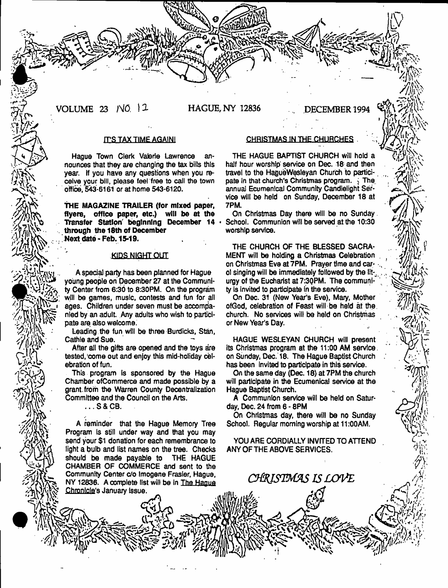VOLUME 23 *NO.* (3- HAGUE, NY 12836 DECEMBER 1994

**3** 

 $\mathbb{R} \times$ 

# rrS TAX TIMEAGA1M1

Hague Town Clerk Valerie Lawrence announces that they are changing the tax biits this year. If you have any questions when you receive your bill, please feel free to call the town office, 543-6161 or at home 543-6120.

**THE MAGAZINE TRAILER (for mixed paper, flyers, office paper, etc.) will be at the Transfer Station' beginning December 14 through the 18th of December Next date -Feb. 15-19.**

# **KIDS NIGHT QUT**

A special party has been planned for Hague young people on December 27 at the Community Center from 6:30 to 8:30PM. On the program will be games, music, contests and fun for all ages. Children under seven must be accompanied by an adult. Any adults who wish to participate are also welcome.

Leading the fun will be three Burdicks, Stan, Cathie and Sue.

After all the gifts are opened and the toys are tested, come out and enjoy this mid-holiday celebration of fun.

This program is sponsored by the Hague Chamber ofCommerce and made possible by a grant, from the Warren County Decentralization Committee and the Council on the Arts.

...S&CB.

a  $\gamma$ 

n fall

A reminder that the Hague Memory Tree Program is still under way and that you may send your \$1 donation for each remembrance to fight a bulb and list names on the tree. Checks<br>should be made payable to THE HAGUE should be made payable to CHAMBER OF COMMERCE and sent to the Community Center c/o lmogene Frasier, Hague, NY 12836. A complete list will be in The **Hague** Chronicle's January Issue.

#### CHRISTMAS IN THE CHURCHES

THE HAGUE BAPTIST CHURCH Will hold a half hour worship service on Dec. 18 and then travel to the HagueWesleyan Church to participate in that church's Christmas program,  $\frac{1}{2}$ . The annua! Ecumenical Community Candlelight Service will be hetd on Sunday, December 18 at 7PM.

On Christmas Day there will be no Sunday School. Communion will be served at the 10:30 worship service.

THE CHURCH OF THE BLESSED SACRA-MENT will be holding a Christmas Celebration on Christmas Eve at 7PM. Prayer time and carol singing will be immediately followed by the liturgy of the Eucharist at 7:30PM. The community is invited to participate in the service.

On Dec. 31 (New Year's Eve), Mary, Mother ofGod, celebration of Feast will be held at the church. No services will be held on Christmas or New Year's Day.

HAGUE WESLEYAN CHURCH will present its Christmas program at the 11:00 AM service, on Sunday, Dec. 18. The Hague Baptist Church has been Invited to participate in this service.

On the same day (Dec. 18) at 7PM the church will participate in the Ecumenical service at the Hague Baptist Church.

A Communion service will be held on Saturday, Dec. 24 from 6 - 8PM

On Christmas day, there will be no Sunday School. Regular morning worship at 11:00AM.

YOU ARE CORDIALLY INVITED TO ATTEND ANY OF THE ABOVE SERVICES.

*c m r i s t m a s i s l o v e*

*A S &*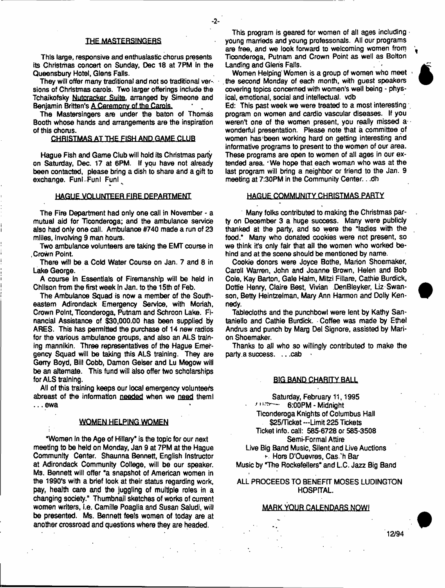#### THE MASTERSINGERS

This large, responsive and enthusiastic chorus presents its Christmas concert on Sunday, Dec 18 at 7 PM in the Queensbury Hotel, Glens Falls.

They will offer many traditional and not so traditional versions of Christmas carols. Two larger offerings include the Tchaikofsky Nutcracker Suite, arranged by Simeone and Benjamin Britten's A Ceremony of the Carols.

The Mastersingers are under the baton of Thomas Booth whose hands and arrangements are the inspiration of this chorus.

## CHRISTMAS AT THE FISH AND GAME CLUB

Hague Fish and Game Club will hold its Christmas party on Saturday, Dec. 17 at 6PM. If you have not already been contacted, please bring a dish to share and a gift to exchange. Funl Funl Funl

#### HAGUE VOLUNTEER FIRE DEPARTMENT

The Fire Department had only one call in November • a mutual aid for Ticonderoga; and the ambulance service also had only one call. Ambulance #740 made a run of 23 mliles, involving 9 man hours.

Two ambulance volunteers are taking the EMT course in .Crown Point

There will be a Cold Water Course on Jan. 7 and 8 in Lake George.

A course in Essentials of Firemanshlp will be held in Chilson from the first week in Jan. to the 15th of Feb.

The Ambulance Squad is now a member of the Southeastern Adirondack Emergency Service, with Moriah, Crown Point, Ticonderoga, Putnam and Schroon Lake. Financial Assistance of \$30,000.00 has been supplied by ARES. This has permitted the purchase of 14 new radios for the various ambulance groups, and also an ALS training mannikin. Three representatives of the Hague Emergency Squad will be taking this ALS training. They are Gerry Boyd, Blit Cobb, Damon Geiser and Lu Megow will be an alternate. This fund will also offer two scholarships for ALS training.

All of this training keeps our local emergency volunteers abreast of the information needed when we need them! ... ewa

#### WOMEN HELPING WOMEN

•Women in the Age of Hillary" is the topic for our next meeting to be held on Monday, Jan 9 at 7PM at the Hague Community Center. Shaunna Bennett, English Instructor at Adirondack Community College, will be our speaker. Ms. Bennett will offer "a snapshot of American women in the 1990's with a brief look at their status regarding work, pay, health care and the juggling of multiple roles in a changing society." Thumbnail sketches of works of current women writers, i.e. Camille Poagtia and Susan Saludi, will be presented. Ms. Bennett feels women of today are at another crossroad and questions where they are headed.

This program is geared for women of all ages including young marrieds and young professonals. All our programs are free, and we look forward to welcoming women from Ticonderoga, Putnam and Crown Point as well as Bolton Landing and Gieris Falls.

Women Helping Women is a group of women who meet the second Monday of each month, with guest speakers covering topics concerned with women's well being - physical, emotional, social and intellectual, vdb

Ed: This past week we were treated to a most interesting program on women and cardio vascular diseases. If you weren't one of the women present, you really missed a wonderful presentation. Please note that a committee of women has been working hard on getting interesting and informative programs to present to the women of our area. These programs are open to women of alt ages in our extended area. 'We hope that each woman who was at the last program will bring a neighbor or friend to the Jan. 9 meeting at 7:30PM in the Community Center.. .dh

#### HAGUE COMMUNITY CHRISTMAS PARTY

Many folks contributed to making the Christmas party on December 3 a huge success. Many were publicly thanked at the party, and so were the "ladies with the food." Many who donated cookies were not present, so we think it's only fair that all the women who worked behind and at the scene should be mentioned by name.

Cookie donors were Joyce Bothe, Marion Shoemaker, Carol! Warren, John and Joanne Brown, Helen and Bob Cole, Kay Barton, Gale Halm, Mitzi Fillare, Cathie Burdick, Dottie Henry, Claire Best, Vivian DenBleyker, Liz Swanson, Betty Heintzeiman, Mary Ann Harmon and Dolly Kennedy.

Tablecloths and the punchbowl were lent by Kathy Santaniello and Cathie Burdick. Coffee was made by Ethel Andrus and punch by Marg Del Signore, assisted by Marion Shoemaker.

Thanks to all who so willingly contributed to make the party a success. . . . cab

#### BJG.BAND CHARITY BALL

Saturday, February 11,1995 ■ 6:00PM - Midnight Ticonderoga Knights of Columbus Hall \$25/Ticket —Limit 225 Tickets Ticket info, call: 585-6728 or 585-3508

Semi-Formal Attire Live Big Band Music, Silent and Live Auctions

> Hors D'Ouevres, Cas.'h Bar

Music by "The Rockefellers" and L.C. Jazz Big Band

ALL PROCEEDS TO BENEFIT MOSES LUDINGTON HOSPITAL.

#### **MABK.yQUB-GALENDAfiS.NQW!**

12/94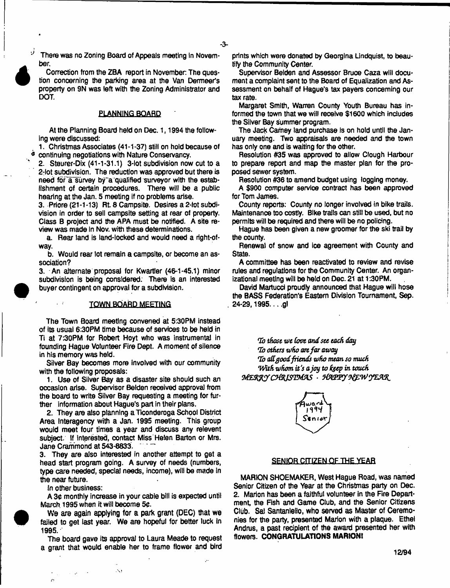There was no Zoning Board of Appeals meeting in November.

Correction from the ZBA report in November. The question concerning the parking area at the Van Dermeer's property on 9N was left with the Zoning Administrator and DOT.

## PLANNING BOARD

At the Planning Board held on Dec. 1, 1994 the following were discussed:

1. Christmas Associates (41-1-37) stiff on hold because of continuing negotiations with Nature Conservancy.

2. Steurer-Dix (41-1-31.1) 3-lot subdivision now cut to a 2-tot subdivision. The reduction was approved but there is need for a survey by a qualified surveyor with the establishment of oertain procedures. There will be a public hearing at the Jan. 5 meeting if no problems arise.

3. Priore (21-1-13) Rt 8 Campsite. Desires a 2-iot subdivision in order to sell campsite setting at rear of property. Class B project and the APA must be notified. A site review was made in Nov. with these determinations.

a. Rear land is land-locked and would need a right-ofway.

b. Would rear lot remain a campsite, or become an association?

3. An alternate proposal for Kwartler (46-1-45.1) minor subdivision is being considered. There is an interested buyer contingent on approval for a subdivision.

#### **TOWN BOARD MEETING**

The Town Board meeting convened at 5:30PM instead of its usual 6:30PM time because of services to be held in Ti at 7:30PM for Robert Hoyt who was instrumental in founding Hague Volunteer Fire Dept. A moment of silence in his memory was held.

Silver Bay becomes more involved with our community with the following proposals:

1. Use of Silver Bay as a disaster site should such an occasion arise. Supervisor Belden received approval from the board to write Silver Bay requesting a meeting for further information about Hague's part in their plans.

2. They are also planning a Ticonderoga School District Area Interagency with a Jan. 1995 meeting. This group would meet four times a year and discuss any relevant subject. If interested, contact Miss Helen Barton or Mrs. Jane Crammond at 543-8833.

3. They are also interested in another attempt to get a head start program going. A survey of needs (numbers, type care needed, special needs, income), will be made in the near future.

in other business:

 $\mathcal{L} = \mathcal{L} \mathcal{L}$  .

ż.

 $\sim$  :

A 3¢ monthly increase in your cable bill is expected until March. 1995 when it will become 50.

**We are again applying for a park grant (DEC) that we failed to get last year. We are hopeful for better luck In** 1995.

The board gave its approval to Laura Meade to request a grant that woutd enable her to frame flower and bird

 $\Delta$ 

prints which were donated by Georgina Lindquist, to beautify the Community Center.

Supervisor Belden and Assessor Bruce Caza will document a complaint sent to the Board of Equalization and Assessment on behalf of Hague's tax payers concerning our tax rate.

Margaret Smith, Warren County Youth Bureau has informed the town that we will receive \$1600 which includes the Silver Bay summer program.

The Jack Carney land purchase Is on hold until the January meeting. Two appraisals are needed and the town has only one and is waiting for the other.

Resolution #35 was approved to allow Clough Harbour to prepare report and map the master plan for the proposed sewer system.

Resolution #36 to amend budget using togging money.

A \$900 computer service contract has been approved for Tom James.

County reports: County no longer involved in bike trails. Maintenance too costly. Bike trails can still be used, but no permits will be required and there will be no policing.

Hague has been given a new groomer for the ski trail by the county.

Renewal of snow and Ice agreement with County and State.

A committee has been reactivated to review and revise rules and regulations for the Community Center. An organizational meeting will be held on Dec. 21 at 1:30PM.

David Martucci proudly announced that Hague will hose the BASS Federation's Eastern Division Tournament, Sep. 24-29,1995... .gl

7b those *we love and set each day Hi) others who art far away* 7b *ad goodfriends who mean so much* With whom it's a joy to keep in touch MERRY CHRISTMAS HAPPY NEW YEAR.



#### **SENIOR CITIZEN OF THE YEAR**

MARION SHOEMAKER, West Hague Road, was named Senior Citizen of the Year at the Christmas party on Dec. 2. Marion has been a faithful volunteer in the Fire Department, the Fish and Game Club, and the Senior Citizens Club. Sal Santaniello, who served as Master of Ceremonies for the party, presented Marion with a plaque. Ethel Andrus, a past recipient of the award presented her with flowers. **CONGRATULATIONS MARION!**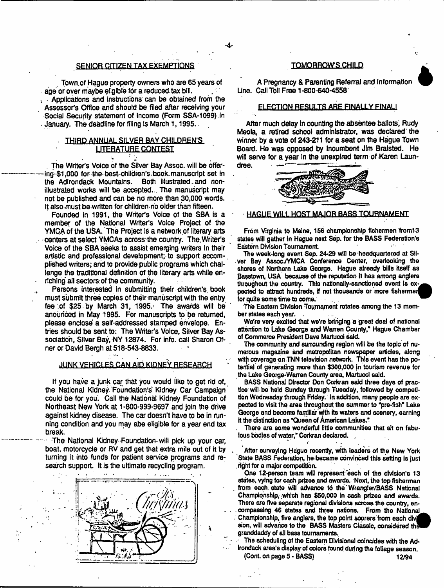# SENIQR CITIZEN TAX EXEMPTIONS

Town, of Hague property owners who are 65 years of age or over maybe eligible for a reduced tax bill. • Applications and instructions' can be obtained from the Assessor's Office and should be filed after receiving your Social Security statement of income (Form SSA-1099) in January. The deadline for filing is March 1,1995.

# THIRD ANNUAL SILVER BAY CHILDREN'S LITERATURE CONTEST

1 - . The Writer's Voice of the Silver Bay Assoc, will be offering- \$1,000 for the- best-children's .book. manuscript set in the Adirondack Mountains. Both illustrated, and nonillustrated works will be accepted.. The manuscript may not be published and can be no more than 30,000 words. It also-must be-wrltten for children no older than fifteen.

Founded in 1991, the Writer's Voice of the SBA is a member of the National Writer's Voice Project of the YMCA of the USA. The Project is a network of literary arts centers at select YMCAs across the country. The, Writer's Voice of the SBA seeks to assist emerging writers in their artistic and professional development; to support accom-. plished writers; arid to provide public programs which challenge the traditional definition of the literary arts while enriching all sectors: of the community.

Persons interested in submitting their children's, book must submit three copies of their manuscript with the entry fee of \$25 by March 31, 1995. The awards will be anouriced in May 1995. For manuscripts to be returned, please enclose a self-addressed stamped envelope. Entries should be sent to: The Writer's Voice, Silver Bay Association, Silver Bay, NY 12874. For info, call Sharon Ofner or David Bergh at 518-543-8833.

# JUNK VEHICLES CAN AID KIDNEY RESEARCH

if you have a junk car that you would like to get rid of, the National Kidney. Foundation's Kidney Car Campaign could be for you. Cali the National Kidney Foundation of Northeast New York at 1-800-999-9697 and join the drive against kidney disease. The car doesn't have to be in running condition and you may abe eligible for a year end tax break.

 The National Kidney-Foundation-wiii pick up your car, boat, motorcycle or RV and get that extra mile out of it by turning it into funds for patient service programs and research support. It is the ultimate recycling program.



 $\lambda$ 

#### TOMORROW'S CHILD

A Pregnancy & Parenting Referral and Information Line. Cail Toll Free 1 -800-640-4558

### ELECTION RESULTS ARE FINALLY FINALL

After much delay in counting the absentee ballots, Rudy Meola, a retired school administrator, was declared the winner by a vote of 243-211 for a seat on the Hague Town Board. He was opposed by Incumbent Jim Bralsted. He will serve for a year in the unexpired term of Karen Laundree.



#### **HAGUE WILL HOST MAJOR BASS TOURNAMENT**

**Frbm Virginia to Maine, 156 championship fishermen from13 states will gather in Hague next Sep. for the BASS Federation's Eastern Division Tournament**

**The week-long event Sep. 24-29 wit) be headquartered at Sil**ver Bay Assoc./YMCA Conference Center, overlooking the **shores of Northern Lake George. Hague already bills itself as Basstown, USA because of the reputation it has among anglers** throughout the country. This nationally-sanctioned event is expected to attract hundreds, if not thousands or more fishermen **for quite some time to come.**

**The Eastern Division Tournament rotates among the 13 member states each year. .**

**We're very excited that we're bringing a great deal of national attention to Lake George and Warren County," Hagus Chamber of Commerce President Dave Martucd said.**

**The community and surrounding region wilt be the topic of numerous magazine and metropolitan newspaper articles, along** with coverage on TNN television network. This event has the po**tential of generating more than \$300,000 jn tourism revenue for the Lake George-Warren County area, Martucd said.**

**BASS National Director Don Corkran said three days of practice will be held Sunday through Tuesday, followed by competition Wodnesday through Friday. In addition, many people are expected to visit the area throughout the summer to "pre-fish' Lake George and become farriilar wfth its waters and scenery, earning it the distinction as "Queen of American Lakes."**

**. There are some wonderful little communities that sit on fabulous bodies of water," Corkran dedared.**

**After surveying Hague recently, with leaders of the New York State BASS Federation, he became convinced this setting is just .right for a major competition.**

One 12-person team will represent each of the division's 13 **states, vying for cash prizes and awards. Next, the top fisherman from each, state will advance to the Wrangter/BASS National Championship,;which has \$50,000 in cash prizes and awards. There ere five separate regional divisions across the country, encompassing 46 states and three nations. From the National \_** Championship, five anglers, the top point scorers from each divi sion, will advance to the BASS Masters Classic, considered the **granddaddy of all bass tournaments.**

The scheduling of the Eastern Divisional coincides with the Ad**irondack area's display of colors found during the foliage season. (Cont. on page 5 - BASS) 12/94**

\*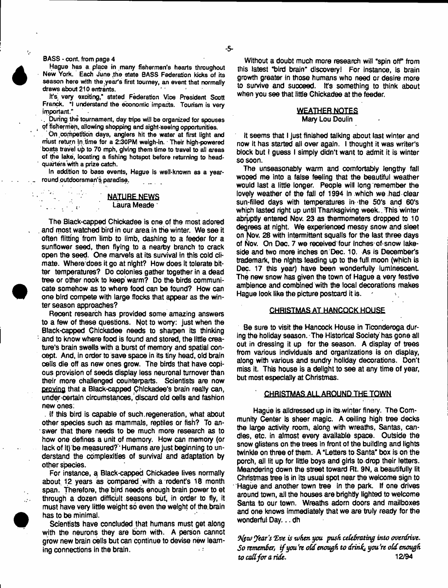#### **BASS - cont. from page 4**

 $\mathbf{r}_i$ 

 $\mathcal{L}^{\mathcal{L}}$ 

**Hague has a place in many fishermen's hearts throughout New York. Each June .the state BASS Federation kicks of its season here with the .year's first tourney, an event that normally draws about 210 entrants.**

**It's, very exciting," stated Federation Vice President Scott Franck. "I understand the economic impacts. Tourism is very important."**

**. During the tournament, day trips wifi be organized lor spouses of fishermen, allowing shopping and sight-seeing opportunities.**

**' On .competition days, anglers hit the water at first light and must return tn. time for a 2:30PM weigh-in. Their high-powered boats travel up to 70 mph, giving them time to travel to all areas of the lake, locating a fishing hotspot before returning to headquarters'with a prize catch.**

**In addition to bass events, Hague is well-known as a yearround putdoorsman's paradise.**

# **NATURE NEWS**  $\ldots$  .  $\qquad \qquad$  Laura Meade  $\cdot$

The Black-capped Chickadee is one of the most adored . and most watched bird in our area in the winter. We see it often flitting from limb to limb, dashing to a feeder for a sunflower seed, then flying to a nearby branch to crack open the seed. One marvels at its survival in this cold climate. Where does it go at night? How does it tolerate bitter temperatures? Do colonies gather together in a dead tree or other nook to keep warm? Do the birds communicate somehow as to where food can be found? How can one bird compete with large flocks that appear as the winter season approaches?

Recent research has provided some amazing answers to a few of these questions. Not to worry: just when the Black-capped Chickadee needs to sharpen its thinking and to know where food is found and stored, the little creature's brain swells with a burst of memory and spatial concept. And, in order to save space in its tiny head, old brain cells die off as new ones grow. The birds that have copious provision of seeds display less neuronal turnover than their more challenged counterparts. Scientists are now proving that a Black-capped Chickadee's brain really can, under certain circumstances, discard old cells and fashion new ones:

. If this bird is capable of such.regeneration, what about other species such as mammals, reptiles or fish? To answer that there needs to be much more research as to how one defines a unit of memory. How can memory (or tack of it) be measured? \* Humans are just beginning to understand the complexities of survival and adaptation by other species.

For instance, a Black-capped Chickadee lives normally about 12 years as compared with a rodent's 18 month span. Therefore, the bird needs enough brain power to et through a dozen difficult seasons but, in order to fly, it must have very little weight so even the weight of the.brain has to be minimal.

Scientists have concluded that humans must get along with the neurons they are bom with. A person cannct grow new brain ceils but can continue to devise new learning connections in the brain.  $\cdot$  :

Without a doubt much more research will "spin off" from this latest "bird brain" discovery! For instance, is brain growth greater in those humans who need or desire more to survive and suoceed. it's something to think about when you see that little Chickadee at the feeder.

### **WEATHER NOTES** Mary Lou Doulin

It seems that I just finished talking about last winter and now it has started all over again. I thought it was writer's block but I guess I simply didn't want to admit it is winter so soon.

The unseasonably warm and comfortably lengthy fall wooed me into a false feeling that the beautiful weather would last a little longer. People will long remember the lovely weather of the fall of 1994 In which we had clear sun-filled days with temperatures in the 50's and 60's which lasted right up until Thanksgiving week.. This winter abruptly entered Nov. 23 as thermometers dropped to 10 degrees at night. We experienced messy snow and sleet on Nov. 28 with intermittent squalls for the last three days of Nov. On Dec. 7 we received four inches of snow lakeside and two more inches on Dec. 10. As is December's trademark, the nights leading up to the full moon (which is Dec. 17 this year) have been wonderfully luminescent. The new snow has given the town of Hague a very festive ambience and combined with the local decorations makes Hague look like the picture postcard it is.

#### CHRISTMAS AT HANCOCK HOUSE

Be sure to visit the Hancock House in Ticonderoga during the holiday season. The Historical Society has gone ail out in dressing it up for the season. A display of trees from various individuals and organizations is on display, along with various and sundry holiday decorations. Don't miss it. This house is a delight to see at any time of year, but most especially at Christmas.

#### **CHRISTMAS ALL AROUND THE TQWN**

Hague is alldressed up in its winter finery. The Community Center is sheer magic. A ceiling high tree decks the large activity room, along with wreaths, Santas, candles, etc. in almost every available space. Outside the snow glistens on the trees in front of the building and lights twinkle on three of them. A "Letters to Santa" box is on the porch, all lit up for little boys and girls to drop their letters. Meandering down the street toward Rt. 9N, a beautifully lit Christmas tree is in its usual spot near the welcome sign to Hague and another town tree in the park. If one drives around town, all the houses are brightly lighted to welcome Santa to our town. Wreaths adorn doors and mailboxes and one knows immediately that we are truly ready for the wonderful Day... dh

3yp*v) year's 'Eve is when you push celebrating into overdrive. So remember., if you \*re old enough to drinhi you \*re o(d enough to cad for a ride*. 12/94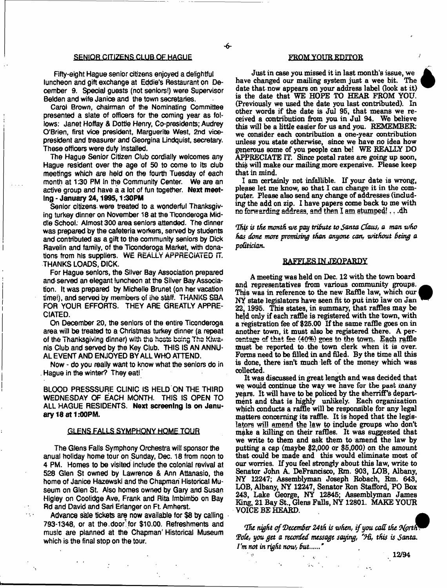#### SENIOR CITIZENS CLUB OF HAGUE

Fifty-eight Hague senior citizens enjoyed a delightful luncheon and gift exchange at Eddie's Restaurant on December 9. Special guests (not seniors!) were Supervisor Belden and wife Janice and the town secretaries.

Carol Brown, chairman of the Nominating Committee presented a slate of officers for the coming year as follows: Janet Hoffay & Dottie Henry, Co-presidents; Audrey O'Brien, first vice president, Marguerite West, 2nd vicepresident and treasurer and Georgina Lindquist, secretary. These officers were duty installed.

The Hague Senior Citizen Club cordially welcomes any Hague resident over the age of 50 to come to its dub meetings which are held on the fourth Tuesday of each month at 1:30 PM In the Community Center. We are an active group and have a a lot of fun together. Next meeting - January 24,1995,1:30PM

Senior citizens were treated to a wonderful Thanksgiving turkey dinner on November 18 at the Ticonderoga Middle School. Almost 300 area seniors attended. The dinner was prepared by the cafeteria workers, served by students and contributed as a gift to the community seniors by Dick Ravelin and family, of the Ticonderoga Market, with donations from his suppliers, WE REALLY' APPRECIATED IT. THANKS LOADS, DICK.

For Hague seniors, the Silver Bay Association prepared and served an elegant luncheon at the Silver Bay Association. It was prepared by Michelle Brunet (on her vacation timei), and served by members of the staff, THANKS SBA FOR YOUR EFFORTS. THEY ARE GREATLY APPRE-CIATED.

On December 20, the seniors of the entire Ticonderoga area will be treated to a Christmas turkey dinner (a repeat of the Thanksgiving dinner) with the hosts being The Klwa= nis Club and served by the Key Club. THIS IS AN ANNU-AL EVENT AND ENJOYED BY ALL WHO ATTEND.

Now - do you really want to know what the seniors do in . Hague in the winter? They eat!

BLOOD PRESSSURE CLINIC IS HELD ON THE THIRD WEDNESDAY OF EACH MONTH. THIS IS OPEN TO ALL HAGUE RESIDENTS. Next screening Is on January 18 at 1:00PM.

#### GLENS-FALLSSYMPHONY HOME TQUR

The Glens Fails Symphony Orchestra will sponsor the anual holiday home tour on Sunday, Dec. 18 from noon to 4 PM. Homes to be visited include the colonial revival at 528 Glen St owned by Lawrence & Ann Attanasio, the home of Janice Hazewski and the Chapman Historical Museum on Glen St. Also homes owned by Gary and Susan Higiey on Coolidge Ave, Frank and Rita Imbimbo on Bay Rd and David and Sari Erlanger on Ft Amherst.

Advance sale tickets are now available for \$8 by calling 793-1348, or at the . door for \$10.00. Refreshments and music are planned at the Chapman' Historical Museum which is the final stop on the tour.

#### FROM YQUR EDITOR

Just in case you missed it in last month's issue, we have changed our mailing system just a wee bit. The date that now appears on your address label (look at it) is the date that WE HOPE TO HEAR FROM YOU. (Previously we used the date you last contributed). In other words if the date is Jul 95, that means we received a contribution from you in Jul 94. We believe this will be a little easier for us and you. REMEMBER we consider each contribution a one-year contribution unless you state otherwise, since we have no idea how generous some of you people can be! WE REALLY DO APPRECIATE IT. Since postal rates are going up soon, this will make our mailing more expensive. Please keep that in mind.

I am certainly not infallible. If your date is wrong, please let me know, so that I can change it in the computer. Please also send any change of addresses (including the add on zip. I have papers come back to me with no forwarding address, and then I am stumped!.. .dh

*'Ihis is the month we pay tribute to Santa Claus, a man who has done more promising than anyone can, without Being a poGtidan.*

#### RAFFLES IN JEOPARDY

A meeting was held on Dec. 12 with the town board and representatives from various community groups. This was in reference to the new Raffle law, which our NY state legislators have seen fit to put into law on Jan 22, 1995. This states, in summary, that raffles may be held only if each raffle is registered with the town, with a registration fee of \$25.00 If the same raffle goes on in another town, it must also be registered there. A percentage of that fee (40%) goes to the town. Each raffle must be reported to the town clerk when it is over. Forms need to be filled in and filed. By the time all this is done, there isn't much left of the money which was collected.

It was discussed in great length and was decided that we would continue the way we have for the past many years. It will have to be policed by the sherriff's department and that is highly unlikely. Each organization which conducts a raffle will be responsible for any legal matters concerning its raffle. It is hoped that the legislators will amend the law to include groups who don't make a killing on their raffles. It was suggested that we write to them and ask them to amend the law by putting a cap (maybe \$2,000 or \$5,000) on the amount that could be made and this would eliminate most of our worries. If you feel strongly about this law, write to Senator John A. DeFrancisco, Rm. 903, LOB, Albany, NY 12247; Assemblyman Joseph Robach, Rm. 643, LOB, Albany, NY 12247, Senator Ron Stafford, PO Box 243, Lake George, NY 12845; Assemblyman James Ring, 21 Bay St., Glens Falls, NY 12801. MAKE YOUR VOICE BE HEARD.

*fIhc night of (December 24th is when, if you call the Ofprtfv Tale, you get a recorded message saying, '(H i, this is Santa*. *Vm not in right now, but*.....\*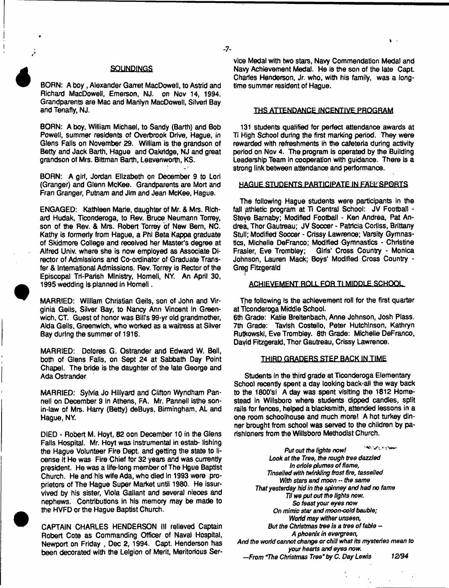### **SQUNDINGS**

BORN: A boy, Alexander Garret MacDowell, to Astrid and Richard MacDowell, Emerson, NJ. on Nov 14, 1994. Grandparents are Mac and Marilyn MacDowell, Sitveri Bay and Tenafly, NJ.

BORN: A boy, William Michael, to Sandy (Barth) and Bob Powell, summer residents of Overbrook Drive, Hague, in Glens Falls on November 29. William is the grandson of Betty and Jack Barth, Hague and Oakridge, NJ and great grandson of Mrs. Bittman Barth, Leavenworth, KS.

BORN: A girt, Jordan Elizabeth on December 9 to Lori (Granger) and Glenn McKee. Grandparents are Mort and Fran Granger, Putnam and Jim and Jean McKee, Hague.

ENGAGED: Kathleen Marie, daughter of Mr. & Mrs. Richard Hudak, Ticonderoga, to Rev. Bruce Neumann Torrey, son of the Rev. & Mrs. Robert Torrey of New Bern, NC. Kathy is formerly from Hague, a Phi Beta Kappa graduate of Skidmore College and received her Master's degree at Alfred Univ. where she is now employed as Associate Director of Admissions and Co-ordinator of Graduate Transfer & International Admissions. Rev. Torrey is Rector of the Episcopal Tri-Parish Ministry, Homell, NY. An April 30, 1995 wedding is planned in Homell.

MARRIED: William Christian Geils, son of John and Virginia Geits, Silver Bay, to Nancy Ann Vincent In Greenwich, CT. Guest of honor was Bill's 99-yr old grandmother, Alda Geils. Greenwich, who worked as a waitress at Silver Bay during the summer of 1916.

MARRIED: Dolores G. Ostrander and Edward W. Bell, both of Glens Falls, on Sept 24 at Sabbath Day Point Chapel. The bride is the daughter of the late George and Ada Ostrander

MARRIED: Sylvia Jo Hifiyard and Clifton Wyndham Pannell on December 9 In Athens, FA. Mr. Pannell isthe sonin-law of Mrs. Harry (Betty) deBuys, Birmingham, AL and Hague, NY.

DIED - Robert M. Hoyt, 82 oon December 10 in the Glens Falls Hospital. Mr. Hoyt was instrumental in estab- lishing the Hague Volunteer Fire Dept, and getting the state to license it He was Fire Chief for 32 years and was currently president. He was a life-long member of The Hgue Baptist Church. He and his wife Ada, who died in 1993 were proprietors of The Hague Super Market until 1980. He issurvived by his sister, Viola Gallant and several nieces and nephews. Contributions in his memory may be made to the HVFD or the Hague Baptist Church.

CAPTAIN CHARLES HENDERSON ill relieved Captain Robert Cote as Commanding Officer of Naval Hospital, Newport on Friday , Dec 2, 1994. Capt. Henderson has been decorated with the Lelgion of Merit, Meritorious Service Medal with two stars, Navy Commendation Medal and Navy Achievement Medal. He is the son of the late Capt. Charles Henderson, Jr. who, with his family, was a longtime summer resident of Hague.

 $\mathbf{u}$  .

#### THS ATTENDANCE INCENTIVE PROGRAM

131 students qualified for perfect attendance awards at Ti High School during the first marking period. They were rewarded with refreshments in the cafeteria during activity period on Nov 4. The program is operated by the Building Leadership Team in cooperation with guidance. There is a strong link between attendance and performance.

#### HAGUE STUDENTS PARTICIPATE IN FALL'SPORTS

The following Hague students were participants in the fall athletic program at Ti Central School: JV Football -Steve Barnaby; Modified Football - Ken Andrea, Pat Andrea, Thor Gautreau; JV Soccer - Patricia Corliss, Brittany Stull; Modified Soccer - Crissy Lawrence; Varsity Gymnastics, Michelle DeFranco; Modified Gymnastics - Christine<br>Frasier, Eve Trombley; Girls' Cross Country - Monica Girls' Cross Country - Monica Johnson, Lauren Mack; Boys' Modified Cross Country - Greg Fitzgerald

#### ACHIEVEMENT ROLL FOR TI MIDDLE.SCHOOL

The following is the achievement roll for the first quarter at ticonderoga Middle School.

6th Grade: Katie Breitenbach, Anne Johnson, Josh Plass. 7th Grade: Tavlsh Costello, Peter Hutchinson, Kathryn Rulkowski, Eve Trombley. 8th Grade: Michelle DeFranco, David Fitzgerald, Thor Gautreau, Crissy Lawrence.

#### THIRD GRADERS STEP BACKiMJIME

Students in the third grade at Ticonderoga Elementary School recently spent a day looking back-all the way back to the 1800's! A day was spent visiting the 1812 Homestead in Wiilsboro where students dipped candles, split rails for fences, helped a blacksmith, attended lessons in a one room schoolhouse and much more! A hot turkey dinner brought from school was served to the children by parishioners from the Wiilsboro Methodist Church.

**Wildfalls on New** Put *out the lights now I* Look af *the Tree, the rough tree dazzled In oriole plumes of flame, Tinselled with twinkling frost fire, tasselled With* stars *and moon* - *the same That yesterday hid in the spinney and had no fame Til we put out the tights now. So feast your eyes now On mimic star and moon-cold bauble; Worid may wither unseen, But the Christinas tree is a tree of fable - A phoenix in evergreen, And the worid cannot change or chill what its mysteries mean to your hearts and eyes now. —.From The Christinas Tree'by C. Day Lewis 12/94*

 $-7-$